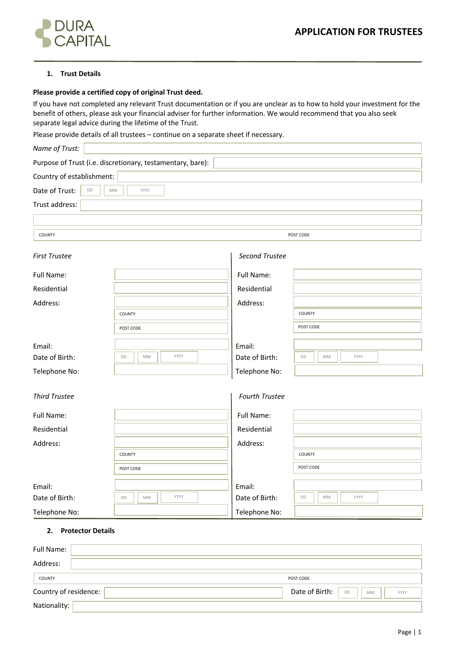

### **1. Trust Details**

### **Please provide a certified copy of original Trust deed.**

If you have not completed any relevant Trust documentation or if you are unclear as to how to hold your investment for the benefit of others, please ask your financial adviser for further information. We would recommend that you also seek separate legal advice during the lifetime of the Trust.

Please provide details of all trustees – continue on a separate sheet if necessary.

| Name of Trust:             |                                                            |                |                  |  |
|----------------------------|------------------------------------------------------------|----------------|------------------|--|
|                            | Purpose of Trust (i.e. discretionary, testamentary, bare): |                |                  |  |
| Country of establishment:  |                                                            |                |                  |  |
| Date of Trust:<br>DD<br>MM | YYYY                                                       |                |                  |  |
| Trust address:             |                                                            |                |                  |  |
|                            |                                                            |                |                  |  |
| COUNTY                     |                                                            |                | POST CODE        |  |
|                            |                                                            |                |                  |  |
| <b>First Trustee</b>       |                                                            | Second Trustee |                  |  |
| Full Name:                 |                                                            | Full Name:     |                  |  |
| Residential                |                                                            | Residential    |                  |  |
| Address:                   |                                                            | Address:       |                  |  |
|                            | COUNTY                                                     |                | COUNTY           |  |
|                            | POST CODE                                                  |                | POST CODE        |  |
| Email:                     |                                                            | Email:         |                  |  |
| Date of Birth:             | YYYY<br>DD<br>MM                                           | Date of Birth: | DD<br>MM<br>YYYY |  |
| Telephone No:              |                                                            | Telephone No:  |                  |  |
|                            |                                                            |                |                  |  |
| <b>Third Trustee</b>       |                                                            | Fourth Trustee |                  |  |
| Full Name:                 |                                                            | Full Name:     |                  |  |
| Residential                |                                                            | Residential    |                  |  |
| Address:                   |                                                            | Address:       |                  |  |
|                            | COUNTY                                                     |                | COUNTY           |  |
|                            | POST CODE                                                  |                | POST CODE        |  |
| Email:                     |                                                            | Email:         |                  |  |
| Date of Birth:             | YYYY<br>DD<br>MM                                           | Date of Birth: | DD<br>MM<br>YYYY |  |
| Telephone No:              |                                                            | Telephone No:  |                  |  |

## **2. Protector Details**

| Full Name:            |                                                  |
|-----------------------|--------------------------------------------------|
| Address:              |                                                  |
| COUNTY                | POST CODE                                        |
| Country of residence: | Date of Birth:<br><b>DD</b><br><b>MM</b><br>YYYY |
| Nationality:          |                                                  |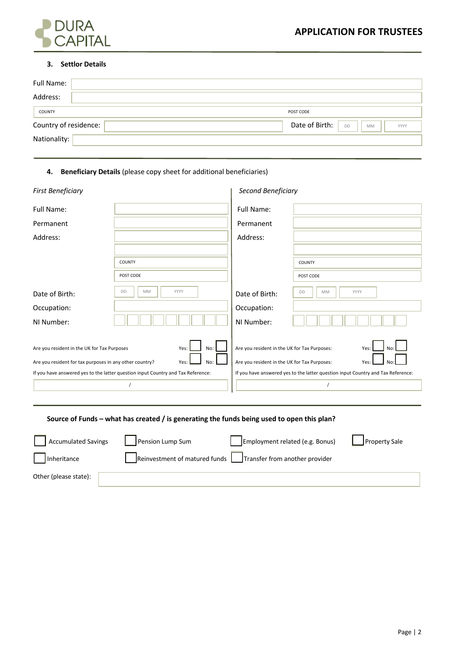

### **3. Settlor Details**

| Full Name:            |                                                  |
|-----------------------|--------------------------------------------------|
| Address:              |                                                  |
| COUNTY                | POST CODE                                        |
| Country of residence: | Date of Birth:<br><b>DD</b><br><b>MM</b><br>YYYY |
| Nationality:          |                                                  |

## **4. Beneficiary Details** (please copy sheet for additional beneficiaries)

| <b>First Beneficiary</b>                                                         |                  | Second Beneficiary                           |                                                                                  |
|----------------------------------------------------------------------------------|------------------|----------------------------------------------|----------------------------------------------------------------------------------|
| Full Name:                                                                       |                  | Full Name:                                   |                                                                                  |
| Permanent                                                                        |                  | Permanent                                    |                                                                                  |
| Address:                                                                         |                  | Address:                                     |                                                                                  |
|                                                                                  |                  |                                              |                                                                                  |
|                                                                                  | COUNTY           |                                              | COUNTY                                                                           |
|                                                                                  | POST CODE        |                                              | POST CODE                                                                        |
| Date of Birth:                                                                   | MM<br>YYYY<br>DD | Date of Birth:                               | DD<br>MM<br>YYYY                                                                 |
| Occupation:                                                                      |                  | Occupation:                                  |                                                                                  |
| NI Number:                                                                       |                  | NI Number:                                   |                                                                                  |
| Are you resident in the UK for Tax Purposes                                      | No:<br>Yes:      | Are you resident in the UK for Tax Purposes: | Yes:<br><b>No</b>                                                                |
| Are you resident for tax purposes in any other country?<br>Yes:<br>No:           |                  | Are you resident in the UK for Tax Purposes: | Yes:<br>No                                                                       |
| If you have answered yes to the latter question input Country and Tax Reference: |                  |                                              | If you have answered yes to the latter question input Country and Tax Reference: |
|                                                                                  |                  |                                              |                                                                                  |

# **Source of Funds – what has created / is generating the funds being used to open this plan?**

| <b>Accumulated Savings</b> | Pension Lump Sum              | Employment related (e.g. Bonus) | <b>Property Sale</b> |
|----------------------------|-------------------------------|---------------------------------|----------------------|
| Inheritance                | Reinvestment of matured funds | Transfer from another provider  |                      |
| Other (please state):      |                               |                                 |                      |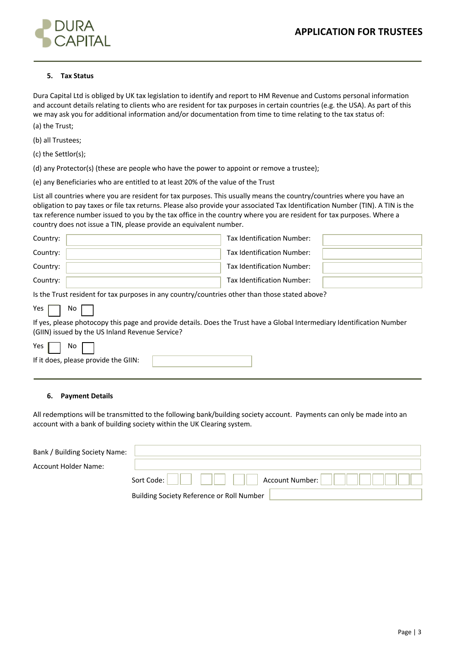

## **5. Tax Status**

Dura Capital Ltd is obliged by UK tax legislation to identify and report to HM Revenue and Customs personal information and account details relating to clients who are resident for tax purposes in certain countries (e.g. the USA). As part of this we may ask you for additional information and/or documentation from time to time relating to the tax status of: (a) the Trust;

(b) all Trustees;

(c) the Settlor(s);

(d) any Protector(s) (these are people who have the power to appoint or remove a trustee);

(e) any Beneficiaries who are entitled to at least 20% of the value of the Trust

List all countries where you are resident for tax purposes. This usually means the country/countries where you have an obligation to pay taxes or file tax returns. Please also provide your associated Tax Identification Number (TIN). A TIN is the tax reference number issued to you by the tax office in the country where you are resident for tax purposes. Where a country does not issue a TIN, please provide an equivalent number.

| Country:                                                                                       |  | Tax Identification Number: |  |  |
|------------------------------------------------------------------------------------------------|--|----------------------------|--|--|
| Country:                                                                                       |  | Tax Identification Number: |  |  |
| Country:                                                                                       |  | Tax Identification Number: |  |  |
| Country:                                                                                       |  | Tax Identification Number: |  |  |
| Is the Trust resident for tax purposes in any country/countries other than those stated above? |  |                            |  |  |

If yes, please photocopy this page and provide details. Does the Trust have a Global Intermediary Identification Number (GIIN) issued by the US Inland Revenue Service?

| ۷ρς | Ν٥ |  |
|-----|----|--|
|     |    |  |

Yes  $\Box$  No

# If it does, please provide the GIIN:

#### **6. Payment Details**

All redemptions will be transmitted to the following bank/building society account. Payments can only be made into an account with a bank of building society within the UK Clearing system.

| Bank / Building Society Name: |                                           |
|-------------------------------|-------------------------------------------|
| <b>Account Holder Name:</b>   |                                           |
|                               | Account Number:<br>Sort Code:             |
|                               | Building Society Reference or Roll Number |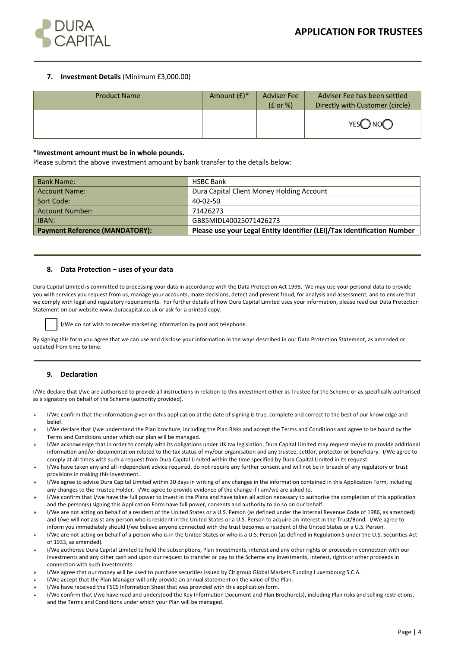

### **7. Investment Details** (Minimum £3,000.00)

| <b>Product Name</b> | Amount $(E)^*$ | <b>Adviser Fee</b><br>$(E \text{ or } \%)$ | Adviser Fee has been settled<br>Directly with Customer (circle) |
|---------------------|----------------|--------------------------------------------|-----------------------------------------------------------------|
|                     |                |                                            | YESO NOO                                                        |

#### **\*Investment amount must be in whole pounds.**

Please submit the above investment amount by bank transfer to the details below:

| <b>Bank Name:</b>                     | <b>HSBC Bank</b>                                                        |
|---------------------------------------|-------------------------------------------------------------------------|
| Account Name:                         | Dura Capital Client Money Holding Account                               |
| Sort Code:                            | 40-02-50                                                                |
| <b>Account Number:</b>                | 71426273                                                                |
| <b>IBAN:</b>                          | GB85MIDL40025071426273                                                  |
| <b>Payment Reference (MANDATORY):</b> | Please use your Legal Entity Identifier (LEI)/Tax Identification Number |

#### **8. Data Protection – uses of your data**

Dura Capital Limited is committed to processing your data in accordance with the Data Protection Act 1998. We may use your personal data to provide you with services you request from us, manage your accounts, make decisions, detect and prevent fraud, for analysis and assessment, and to ensure that we comply with legal and regulatory requirements. For further details of how Dura Capital Limited uses your information, please read our Data Protection Statement on our website www.duracapital.co.uk or ask for a printed copy.

I/We do not wish to receive marketing information by post and telephone.

By signing this form you agree that we can use and disclose your information in the ways described in our Data Protection Statement, as amended or updated from time to time.

#### **9. Declaration**

I/We declare that I/we are authorised to provide all instructions in relation to this investment either as Trustee for the Scheme or as specifically authorised as a signatory on behalf of the Scheme (authority provided).

- ▶ I/We confirm that the information given on this application at the date of signing is true, complete and correct to the best of our knowledge and belief.
- I/We declare that I/we understand the Plan brochure, including the Plan Risks and accept the Terms and Conditions and agree to be bound by the Terms and Conditions under which our plan will be managed.
- I/We acknowledge that in order to comply with its obligations under UK tax legislation, Dura Capital Limited may request me/us to provide additional information and/or documentation related to the tax status of my/our organisation and any trustee, settlor, protector or beneficiary. I/We agree to comply at all times with such a request from Dura Capital Limited within the time specified by Dura Capital Limited in its request.
- > I/We have taken any and all independent advice required, do not require any further consent and will not be in breach of any regulatory or trust provisions in making this investment.
- Ø I/We agree to advise Dura Capital Limited within 30 days in writing of any changes in the information contained in this Application Form, including any changes to the Trustee Holder. I/We agree to provide evidence of the change if I am/we are asked to.
- $\triangleright$  I/We confirm that I/we have the full power to invest in the Plans and have taken all action necessary to authorise the completion of this application and the person(s) signing this Application Form have full power, consents and authority to do so on our behalf.
- I/We are not acting on behalf of a resident of the United States or a U.S. Person (as defined under the Internal Revenue Code of 1986, as amended) and I/we will not assist any person who is resident in the United States or a U.S. Person to acquire an interest in the Trust/Bond. I/We agree to inform you immediately should I/we believe anyone connected with the trust becomes a resident of the United States or a U.S. Person.
- I/We are not acting on behalf of a person who is in the United States or who is a U.S. Person (as defined in Regulation S under the U.S. Securities Act of 1933, as amended).
- Ø I/We authorise Dura Capital Limited to hold the subscriptions, Plan Investments, interest and any other rights or proceeds in connection with our investments and any other cash and upon our request to transfer or pay to the Scheme any investments, interest, rights or other proceeds in connection with such investments.
- I/We agree that our money will be used to purchase securities issued by Citigroup Global Markets Funding Luxembourg S.C.A.
- I/We accept that the Plan Manager will only provide an annual statement on the value of the Plan.
- I/We have received the FSCS Information Sheet that was provided with this application form.
- Ø I/We confirm that I/we have read and understood the Key Information Document and Plan Brochure(s), including Plan risks and selling restrictions, and the Terms and Conditions under which your Plan will be managed.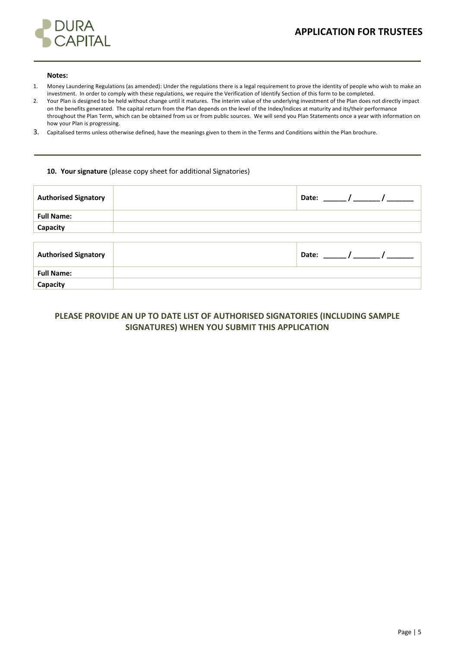# **APPLICATION FOR TRUSTEES**



#### **Notes:**

- 1. Money Laundering Regulations (as amended): Under the regulations there is a legal requirement to prove the identity of people who wish to make an investment. In order to comply with these regulations, we require the Verification of Identify Section of this form to be completed.
- 2. Your Plan is designed to be held without change until it matures. The interim value of the underlying investment of the Plan does not directly impact on the benefits generated. The capital return from the Plan depends on the level of the Index/Indices at maturity and its/their performance throughout the Plan Term, which can be obtained from us or from public sources. We will send you Plan Statements once a year with information on how your Plan is progressing.
- 3. Capitalised terms unless otherwise defined, have the meanings given to them in the Terms and Conditions within the Plan brochure.

## **10. Your signature** (please copy sheet for additional Signatories)

| <b>Authorised Signatory</b> | Date:<br>$\overline{\phantom{a}}$ |
|-----------------------------|-----------------------------------|
| <b>Full Name:</b>           |                                   |
| Capacity                    |                                   |
|                             |                                   |
| <b>Authorised Signatory</b> | $\frac{1}{2}$<br>Date:            |
| <b>Full Name:</b>           |                                   |
| Capacity                    |                                   |

# **PLEASE PROVIDE AN UP TO DATE LIST OF AUTHORISED SIGNATORIES (INCLUDING SAMPLE SIGNATURES) WHEN YOU SUBMIT THIS APPLICATION**